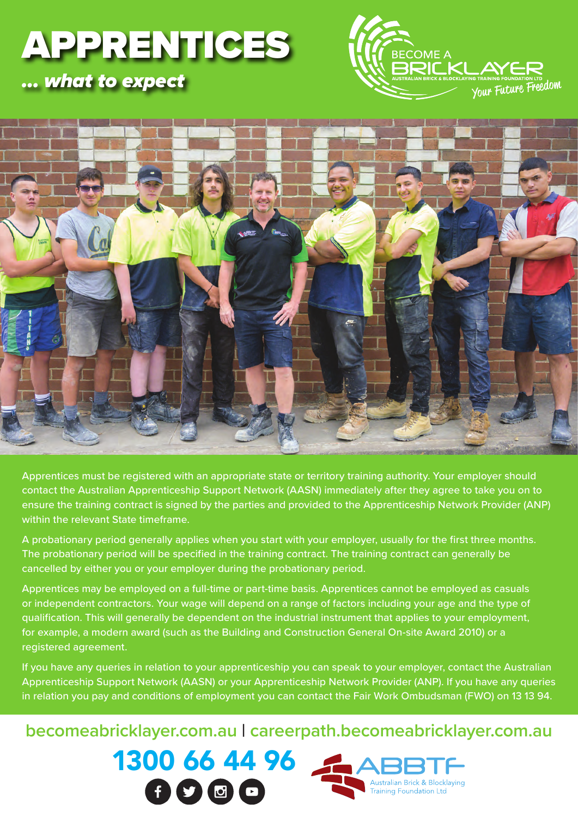# APPRENTICES *… what to expect*





Apprentices must be registered with an appropriate state or territory training authority. Your employer should contact the Australian Apprenticeship Support Network (AASN) immediately after they agree to take you on to ensure the training contract is signed by the parties and provided to the Apprenticeship Network Provider (ANP) within the relevant State timeframe.

A probationary period generally applies when you start with your employer, usually for the first three months. The probationary period will be specified in the training contract. The training contract can generally be cancelled by either you or your employer during the probationary period.

Apprentices may be employed on a full-time or part-time basis. Apprentices cannot be employed as casuals or independent contractors. Your wage will depend on a range of factors including your age and the type of qualification. This will generally be dependent on the industrial instrument that applies to your employment, for example, a modern award (such as the Building and Construction General On-site Award 2010) or a registered agreement.

If you have any queries in relation to your apprenticeship you can speak to your employer, contact the Australian Apprenticeship Support Network (AASN) or your Apprenticeship Network Provider (ANP). If you have any queries in relation you pay and conditions of employment you can contact the Fair Work Ombudsman (FWO) on 13 13 94.

### **becomeabricklayer.com.au | careerpath.becomeabricklayer.com.au**